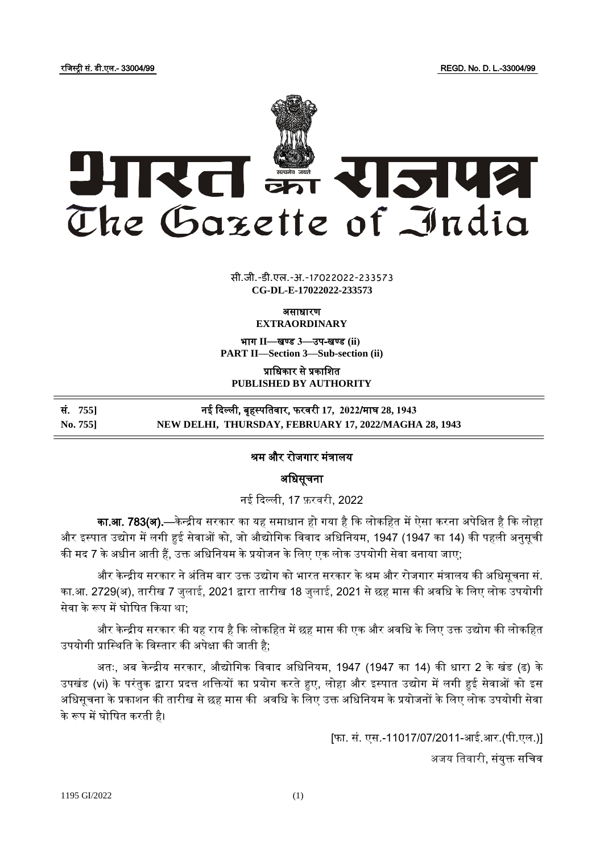रजजस्ट्री सं. डी.एल.- 33004/99 REGD. No. D. L.-33004/99



 $\frac{1}{\sqrt{2}}$   $\frac{1}{\sqrt{2}}$ **xxx**GIDE**xxx** सी.जी.-डी.एल.-अ.-17022022-233573 **CG-DL-E-17022022-233573**

ऄसाधारण

**EXTRAORDINARY**

भाग II-बण्ड 3-उप-खण्ड (ii) **PART II—Section 3—Sub-section (ii)**

प्राजधकार से प्रकाजित **PUBLISHED BY AUTHORITY**

सं. **755]** नइ ददल्ली, बृहस्ट् पजतवार, फरवरी **17, 2022**/माघ **28, 1943 No. 755] NEW DELHI, THURSDAY, FEBRUARY 17, 2022/MAGHA 28, 1943**

## श्रम और रोजगार मंत्रालय

अधिसूचना

नई दिल्ली, 17 फ़रवरी, 2022

**का.आ. 783(अ).**—केन्द्रीय सरकार का यह समाधान हो गया है कि लोकहित में ऐसा करना अपेक्षित है कि लोहा और इस्पात उद्योग में लगी हुई सेवाओं को, जो औद्योगिक विवाद अधिनियम, 1947 (1947 का 14) की पहली अनुसूची की मद 7 के अधीन आती हैं, उक्त अधिनियम के प्रयोजन के लिए एक लोक उपयोगी सेवा बनाया जाए;

और केन्द्रीय सरकार ने अंतिम बार उक्त उद्योग को भारत सरकार के श्रम और रोजगार मंत्रालय की अधिसूचना सं. का.अ. 2729(ऄ), तारीख 7 जुलाइ, 2021 द्वारा तारीख 18 जुलाइ, 2021 से छह मास की ऄवजध के जलए लोक ईपयोगी सेवा के रूप में घोषित किया था:

और केन्द्रीय सरकार की यह राय है कि लोकहित में छह मास की एक और अवधि के लिए उक्त उद्योग की लोकहित उपयोगी प्रास्थिति के विस्तार की अपेक्षा की जाती है;

अतः, अब केन्द्रीय सरकार, औद्योगिक विवाद अधिनियम, 1947 (1947 का 14) की धारा 2 के खंड (ढ) के उपखंड (vi) के परंतुक द्वारा प्रदत्त शक्तियों का प्रयोग करते हुए, लोहा और इस्पात उद्योग में लगी हुई सेवाओं को इस अधिसूचना के प्रकाशन की तारीख से छह मास की अवधि के लिए उक्त अधिनियम के प्रयोजनों के लिए लोक उपयोगी सेवा के रूप में घोजित करती है।

[फा. सं. एस.-11017/07/2011-अइ.अर.(पी.एल.)]

अजय तिवारी, संयुक्त सचिव

1195 GI/2022 (1)